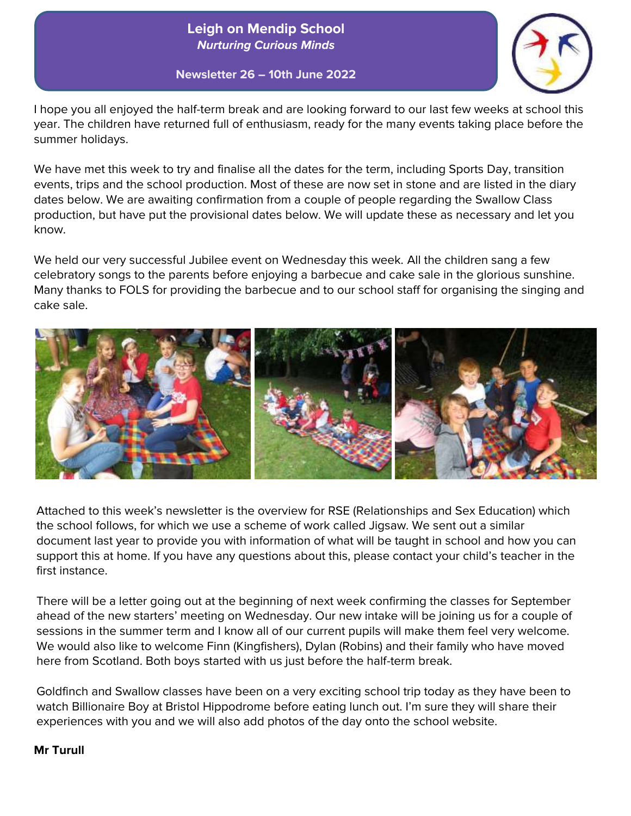### **Leigh on Mendip School** *Nurturing Curious Minds*



**Newsletter 26 – 10th June 2022**

I hope you all enjoyed the half-term break and are looking forward to our last few weeks at school this year. The children have returned full of enthusiasm, ready for the many events taking place before the summer holidays.

We have met this week to try and finalise all the dates for the term, including Sports Day, transition events, trips and the school production. Most of these are now set in stone and are listed in the diary dates below. We are awaiting confirmation from a couple of people regarding the Swallow Class production, but have put the provisional dates below. We will update these as necessary and let you know.

We held our very successful Jubilee event on Wednesday this week. All the children sang a few celebratory songs to the parents before enjoying a barbecue and cake sale in the glorious sunshine. Many thanks to FOLS for providing the barbecue and to our school staff for organising the singing and cake sale.



Attached to this week's newsletter is the overview for RSE (Relationships and Sex Education) which the school follows, for which we use a scheme of work called Jigsaw. We sent out a similar document last year to provide you with information of what will be taught in school and how you can support this at home. If you have any questions about this, please contact your child's teacher in the first instance.

There will be a letter going out at the beginning of next week confirming the classes for September ahead of the new starters' meeting on Wednesday. Our new intake will be joining us for a couple of sessions in the summer term and I know all of our current pupils will make them feel very welcome. We would also like to welcome Finn (Kingfishers), Dylan (Robins) and their family who have moved here from Scotland. Both boys started with us just before the half-term break.

Goldfinch and Swallow classes have been on a very exciting school trip today as they have been to watch Billionaire Boy at Bristol Hippodrome before eating lunch out. I'm sure they will share their experiences with you and we will also add photos of the day onto the school website.

#### **Mr Turull**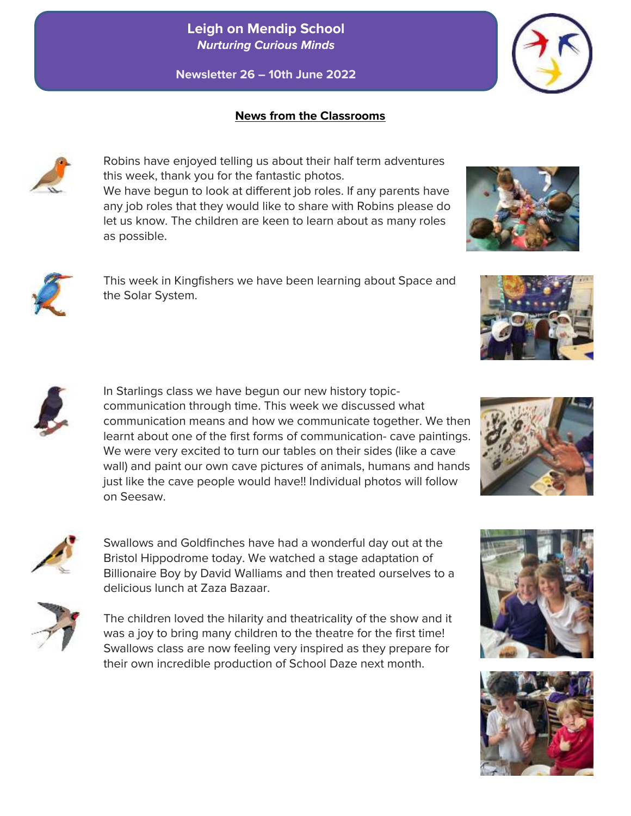**Newsletter 26 – 10th June 2022**

#### **News from the Classrooms**

Robins have enjoyed telling us about their half term adventures this week, thank you for the fantastic photos. We have begun to look at different job roles. If any parents have any job roles that they would like to share with Robins please do let us know. The children are keen to learn about as many roles

This week in Kingfishers we have been learning about Space and

In Starlings class we have begun our new history topiccommunication through time. This week we discussed what communication means and how we communicate together. We then learnt about one of the first forms of communication- cave paintings. We were very excited to turn our tables on their sides (like a cave wall) and paint our own cave pictures of animals, humans and hands just like the cave people would have!! Individual photos will follow on Seesaw.

Swallows and Goldfinches have had a wonderful day out at the Bristol Hippodrome today. We watched a stage adaptation of Billionaire Boy by David Walliams and then treated ourselves to a delicious lunch at Zaza Bazaar.

The children loved the hilarity and theatricality of the show and it was a joy to bring many children to the theatre for the first time! Swallows class are now feeling very inspired as they prepare for their own incredible production of School Daze next month.

as possible.

the Solar System.























**Leigh on Mendip School** *Nurturing Curious Minds*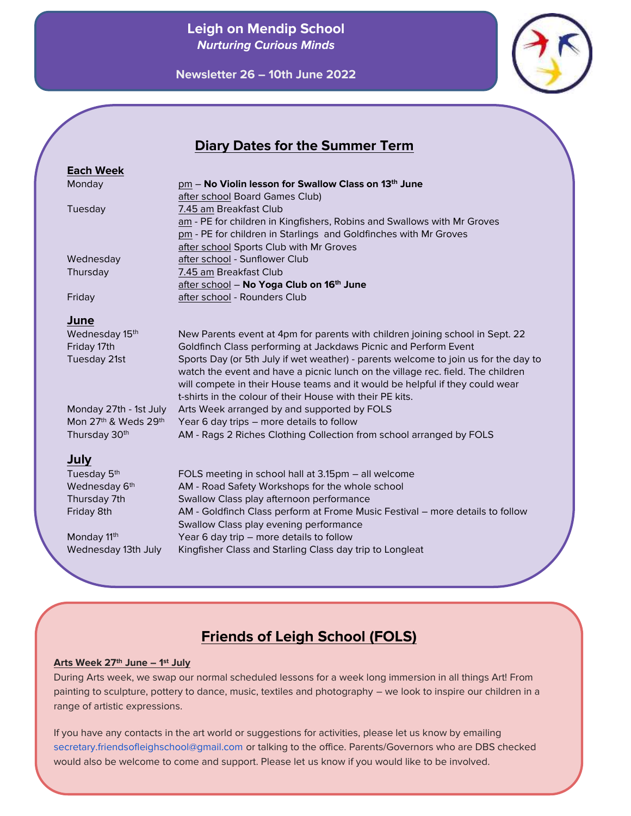### **Leigh on Mendip School** *Nurturing Curious Minds*

**Newsletter 26 – 10th June 2022**



### **Diary Dates for the Summer Term**

| <b>Each Week</b>         |                                                                                                                         |
|--------------------------|-------------------------------------------------------------------------------------------------------------------------|
| Monday                   | pm – No Violin lesson for Swallow Class on 13th June                                                                    |
|                          | after school Board Games Club)                                                                                          |
| Tuesday                  | 7.45 am Breakfast Club                                                                                                  |
|                          | am - PE for children in Kingfishers, Robins and Swallows with Mr Groves                                                 |
|                          | pm - PE for children in Starlings and Goldfinches with Mr Groves                                                        |
|                          | after school Sports Club with Mr Groves                                                                                 |
| Wednesday                | after school - Sunflower Club                                                                                           |
| Thursday                 | 7.45 am Breakfast Club                                                                                                  |
|                          | after school - No Yoga Club on 16th June                                                                                |
| Friday                   | after school - Rounders Club                                                                                            |
| June                     |                                                                                                                         |
| Wednesday 15th           | New Parents event at 4pm for parents with children joining school in Sept. 22                                           |
| Friday 17th              | Goldfinch Class performing at Jackdaws Picnic and Perform Event                                                         |
| Tuesday 21st             | Sports Day (or 5th July if wet weather) - parents welcome to join us for the day to                                     |
|                          | watch the event and have a picnic lunch on the village rec. field. The children                                         |
|                          | will compete in their House teams and it would be helpful if they could wear                                            |
|                          | t-shirts in the colour of their House with their PE kits.                                                               |
| Monday 27th - 1st July   | Arts Week arranged by and supported by FOLS                                                                             |
| Mon $27th$ & Weds $29th$ | Year 6 day trips - more details to follow                                                                               |
| Thursday 30th            | AM - Rags 2 Riches Clothing Collection from school arranged by FOLS                                                     |
| July                     |                                                                                                                         |
| Tuesday 5th              | FOLS meeting in school hall at 3.15pm - all welcome                                                                     |
| Wednesday 6th            | AM - Road Safety Workshops for the whole school                                                                         |
| Thursday 7th             | Swallow Class play afternoon performance                                                                                |
| Friday 8th               | AM - Goldfinch Class perform at Frome Music Festival - more details to follow<br>Swallow Class play evening performance |
| Monday 11th              | Year 6 day trip - more details to follow                                                                                |
| Wednesday 13th July      | Kingfisher Class and Starling Class day trip to Longleat                                                                |
|                          |                                                                                                                         |
|                          |                                                                                                                         |

## **Friends of Leigh School (FOLS)**

#### **Arts Week 27th June – 1 st July**

During Arts week, we swap our normal scheduled lessons for a week long immersion in all things Art! From painting to sculpture, pottery to dance, music, textiles and photography – we look to inspire our children in a range of artistic expressions.

If you have any contacts in the art world or suggestions for activities, please let us know by emailing secretary.friendsofleighschool@gmail.com or talking to the office. Parents/Governors who are DBS checked would also be welcome to come and support. Please let us know if you would like to be involved.